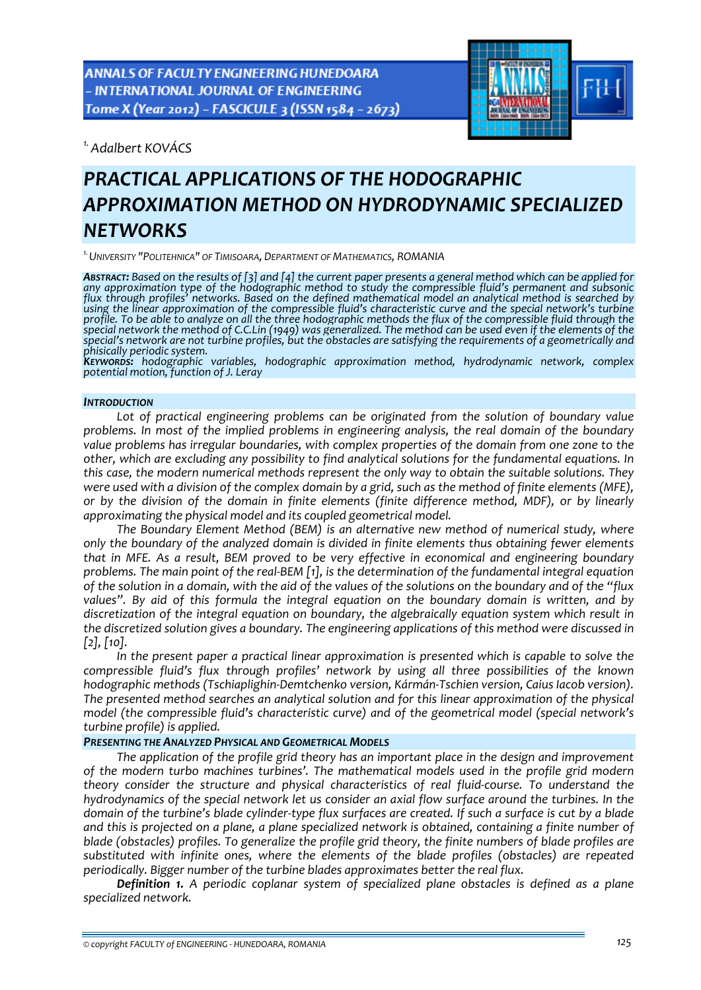

*1.Adalbert KOVÁCS* 

# *PRACTICAL APPLICATIONS OF THE HODOGRAPHIC APPROXIMATION METHOD ON HYDRODYNAMIC SPECIALIZED NETWORKS*

*1.UNIVERSITY "POLITEHNICA" OF TIMISOARA, DEPARTMENT OF MATHEMATICS, ROMANIA*

**ABSTRACT:** Based on the results of [3] and [4] the current paper presents a general method which can be applied for *any approximation type of the hodographic method to study the compressible fluid's permanent and subsonic flux through profiles' networks. Based on the defined mathematical model an analytical method is searched by using the linear approximation of the compressible fluid's characteristic curve and the special network's turbine* profile. To be able to analyze on all the three hodographic methods the flux of the compressible fluid through the special network the method of C.C.Lin (1949) was generalized. The method can be used even if the elements of the special's network are not turbine profiles, but the obstacles are satisfying the requirements of a geometrically and

phisically periodic system.<br> **KEYWORDS:** hodographic variables, hodographic approximation method, hydrodynamic network, complex<br>
potential motion, function of J. Leray

## *INTRODUCTION*

*Lot of practical engineering problems can be originated from the solution of boundary value problems. In most of the implied problems in engineering analysis, the real domain of the boundary value problems has irregular boundaries, with complex properties of the domain from one zone to the other, which are excluding any possibility to find analytical solutions for the fundamental equations. In this case, the modern numerical methods represent the only way to obtain the suitable solutions. They* were used with a division of the complex domain by a grid, such as the method of finite elements (MFE). *or by the division of the domain in finite elements (finite difference method, MDF), or by linearly approximating the physical model and its coupled geometrical model.* 

*The Boundary Element Method (BEM) is an alternative new method of numerical study, where only the boundary of the analyzed domain is divided in finite elements thus obtaining fewer elements that in MFE. As a result, BEM proved to be very effective in economical and engineering boundary* problems. The main point of the real-BEM [1], is the determination of the fundamental integral equation of the solution in a domain, with the aid of the values of the solutions on the boundary and of the "flux" *values". By aid of this formula the integral equation on the boundary domain is written, and by discretization of the integral equation on boundary, the algebraically equation system which result in the discretized solution gives a boundary. The engineering applications of this method were discussed in [2], [10].*

*In the present paper a practical linear approximation is presented which is capable to solve the compressible fluid's flux through profiles' network by using all three possibilities of the known hodographic methods (Tschiaplighin‐Demtchenko version, Kármán‐Tschien version, Caius Iacob version). The presented method searches an analytical solution and for this linear approximation of the physical model (the compressible fluid's characteristic curve) and of the geometrical model (special network's turbine profile) is applied.*

## *PRESENTING THE ANALYZED PHYSICAL AND GEOMETRICAL MODELS*

*The application of the profile grid theory has an important place in the design and improvement of the modern turbo machines turbines'. The mathematical models used in the profile grid modern theory consider the structure and physical characteristics of real fluid‐course. To understand the hydrodynamics of the special network let us consider an axial flow surface around the turbines. In the* domain of the turbine's blade cylinder-type flux surfaces are created. If such a surface is cut by a blade and this is projected on a plane, a plane specialized network is obtained, containing a finite number of *blade (obstacles) profiles. To generalize the profile grid theory, the finite numbers of blade profiles are substituted with infinite ones, where the elements of the blade profiles (obstacles) are repeated periodically. Bigger number of the turbine blades approximates better the real flux.*

*Definition 1. A periodic coplanar system of specialized plane obstacles is defined as a plane specialized network.*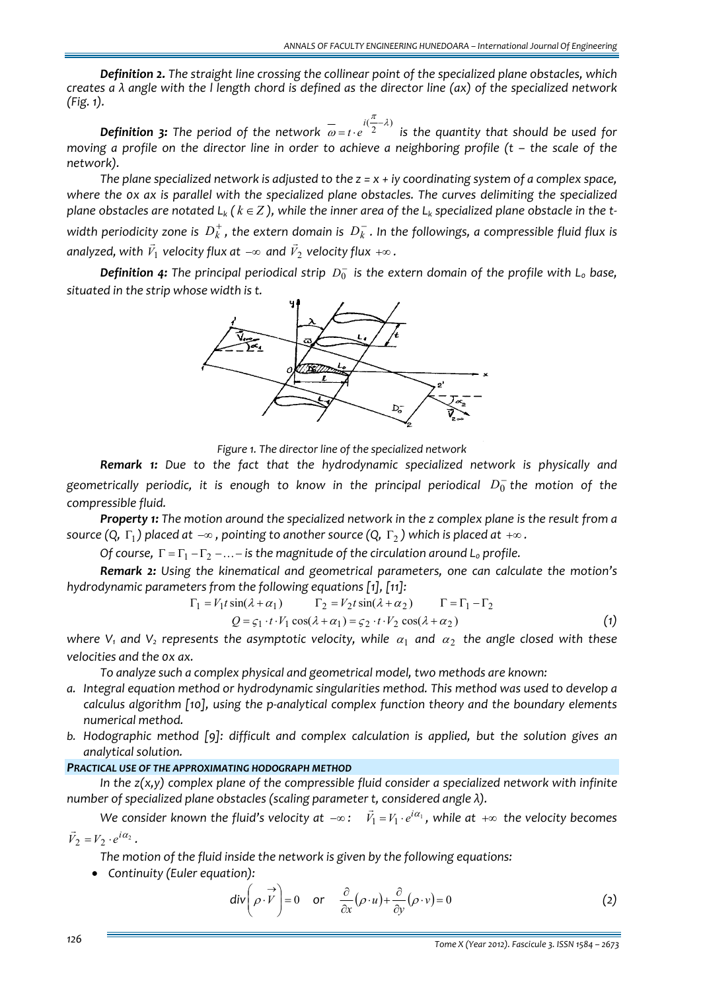*Definition 2. The straight line crossing the collinear point of the specialized plane obstacles, which* creates  $a \lambda$  angle with the I length chord is defined as the director line (ax) of the specialized network *(Fig. 1).*

**Definition 3:** The period of the network  $\overline{\omega} = t \cdot e^{i(\frac{\pi}{2} - \lambda)}$  is the quantity that should be used for moving a profile on the director line in order to achieve a neighboring profile ( $t$  - the scale of the *network).*

The plane specialized network is adjusted to the  $z = x + iy$  coordinating system of a complex space, *where the 0x ax is parallel with the specialized plane obstacles. The curves delimiting the specialized* plane obstacles are notated  $L_k$  ( $k \in Z$ ), while the inner area of the  $L_k$  specialized plane obstacle in the twidth periodicity zone is  $D_k^+$ , the extern domain is  $D_k^-$ . In the followings, a compressible fluid flux is  $\frac{1}{2}$  *analyzed, with*  $\vec{v}_1$  *velocity flux at*  $-\infty$  *and*  $\vec{v}_2$  *velocity flux*  $+\infty$  *.* 

*Definition* 4: The principal periodical strip  $D_0^-$  is the extern domain of the profile with  $L_0$  base, *situated in the strip whose width is t.*



*Figure 1. The director line of the specialized network*

*Remark 1: Due to the fact that the hydrodynamic specialized network is physically and geometrically periodic, it is enough to know in the principal periodical*  $D_0^-$  *the motion of the compressible fluid.*

*Property 1: The motion around the specialized network in the z complex plane is the result from a source*  $(Q, \Gamma_1)$  *placed at*  $-\infty$ , *pointing to another source*  $(Q, \Gamma_2)$  *which is placed at*  $+\infty$ .

*Of course*,  $\Gamma = \Gamma_1 - \Gamma_2 - ... -$  *is the magnitude of the circulation around L<sub>0</sub> profile.* 

*Remark 2: Using the kinematical and geometrical parameters, one can calculate the motion's hydrodynamic parameters from the following equations [1], [11]:*

$$
\Gamma_1 = V_1 t \sin(\lambda + \alpha_1) \qquad \Gamma_2 = V_2 t \sin(\lambda + \alpha_2) \qquad \Gamma = \Gamma_1 - \Gamma_2
$$
  

$$
Q = \zeta_1 \cdot t \cdot V_1 \cos(\lambda + \alpha_1) = \zeta_2 \cdot t \cdot V_2 \cos(\lambda + \alpha_2)
$$
 (1)

*where*  $V_1$  *and*  $V_2$  *represents the asymptotic velocity, while*  $\alpha_1$  *and*  $\alpha_2$  *the angle closed with these velocities and the 0x ax.*

*To analyze such a complex physical and geometrical model, two methods are known:*

- *a. Integral equation method or hydrodynamic singularities method. This method was used to develop a calculus algorithm [10], using the p‐analytical complex function theory and the boundary elements numerical method.*
- *b. Hodographic method [9]: difficult and complex calculation is applied, but the solution gives an analytical solution.*

# *PRACTICAL USE OF THE APPROXIMATING HODOGRAPH METHOD*

*In the z(x,y) complex plane of the compressible fluid consider a specialized network with infinite number of specialized plane obstacles (scaling parameter t, considered angle λ).*

We consider known the fluid's velocity at  $-\infty$ :  $\vec{V}_1 = V_1 \cdot e^{i\alpha_1}$ , while at  $+\infty$  the velocity becomes

 $\vec{V}_2 = V_2 \cdot e^{i\alpha_2}$ .

*The motion of the fluid inside the network is given by the following equations:*

• *Continuity (Euler equation):*

$$
\text{div}\left(\rho \cdot \vec{V}\right) = 0 \quad \text{or} \quad \frac{\partial}{\partial x}(\rho \cdot u) + \frac{\partial}{\partial y}(\rho \cdot v) = 0 \tag{2}
$$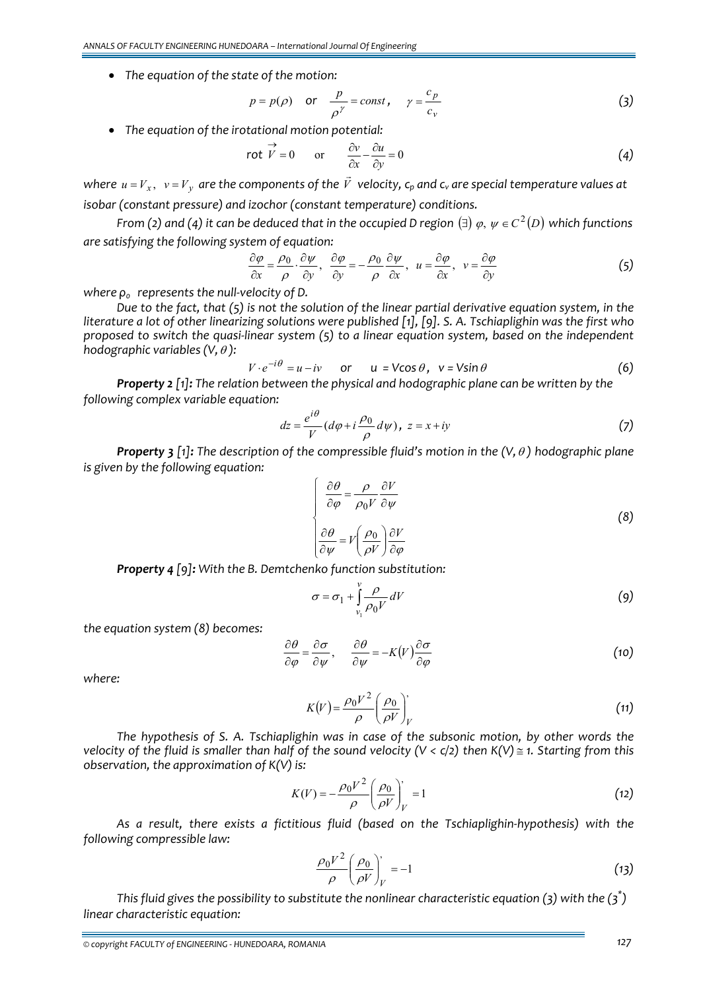• *The equation of the state of the motion:*

$$
p = p(\rho)
$$
 or  $\frac{p}{\rho^{\gamma}} = const$ ,  $\gamma = \frac{c_p}{c_v}$  (3)

• *The equation of the irotational motion potential:*

$$
\text{rot } \vec{V} = 0 \qquad \text{or} \qquad \frac{\partial v}{\partial x} - \frac{\partial u}{\partial y} = 0 \tag{4}
$$

where  $u = V_x$ ,  $v = V_y$  are the components of the  $\vec{V}$  velocity,  $\mathsf{c}_p$  and  $\mathsf{c}_v$  are special temperature values at *isobar (constant pressure) and izochor (constant temperature) conditions.*

From (2) and (4) it can be deduced that in the occupied D region ( $\exists$ )  $\varphi, \psi \in C^2(D)$  which functions *are satisfying the following system of equation:*

$$
\frac{\partial \varphi}{\partial x} = \frac{\rho_0}{\rho} \cdot \frac{\partial \psi}{\partial y}, \quad \frac{\partial \varphi}{\partial y} = -\frac{\rho_0}{\rho} \frac{\partial \psi}{\partial x}, \quad u = \frac{\partial \varphi}{\partial x}, \quad v = \frac{\partial \varphi}{\partial y}
$$
(5)

*where ρ<sup>0</sup> represents the null‐velocity of D.*

Due to the fact, that (5) is not the solution of the linear partial derivative equation system, in the literature a lot of other linearizing solutions were published [1], [9]. S. A. Tschiaplighin was the first who proposed to switch the quasi-linear system  $(5)$  to a linear equation system, based on the independent *hodographic variables*  $(V, \theta)$ :

$$
V \cdot e^{-i\theta} = u - iv \quad \text{or} \quad u = V\cos\theta, \quad v = V\sin\theta \tag{6}
$$

*Property 2 [1]: The relation between the physical and hodographic plane can be written by the following complex variable equation:*

$$
dz = \frac{e^{i\theta}}{V} (d\varphi + i\frac{\rho_0}{\rho} d\psi), \ z = x + iy \tag{7}
$$

*Property 3 [1]: The description of the compressible fluid's motion in the (V,*<sup>θ</sup> *) hodographic plane is given by the following equation:*

$$
\begin{cases}\n\frac{\partial \theta}{\partial \varphi} = \frac{\rho}{\rho_0 V} \frac{\partial V}{\partial \psi} \\
\frac{\partial \theta}{\partial \psi} = V \left( \frac{\rho_0}{\rho V} \right) \frac{\partial V}{\partial \varphi}\n\end{cases}
$$
\n(8)

*Property 4 [9]: With the B. Demtchenko function substitution:*

$$
\sigma = \sigma_1 + \int_{\nu_1}^{\nu} \frac{\rho}{\rho_0 V} dV \tag{9}
$$

*the equation system (8) becomes:*

$$
\frac{\partial \theta}{\partial \varphi} = \frac{\partial \sigma}{\partial \psi}, \qquad \frac{\partial \theta}{\partial \psi} = -K(V) \frac{\partial \sigma}{\partial \varphi}
$$
(10)

*where:*

$$
K(V) = \frac{\rho_0 V^2}{\rho} \left(\frac{\rho_0}{\rho V}\right)_V' \tag{11}
$$

*The hypothesis of S. A. Tschiaplighin was in case of the subsonic motion, by other words the* velocity of the fluid is smaller than half of the sound velocity ( $V < c/2$ ) then K(V)  $\leq$  1. Starting from this *observation, the approximation of K(V) is:*

$$
K(V) = -\frac{\rho_0 V^2}{\rho} \left(\frac{\rho_0}{\rho V}\right)_V = 1
$$
\n(12)

*As a result, there exists a fictitious fluid (based on the Tschiaplighin‐hypothesis) with the following compressible law:*

$$
\frac{\rho_0 V^2}{\rho} \left(\frac{\rho_0}{\rho V}\right)_V = -1 \tag{13}
$$

*This fluid gives the possibility to substitute the nonlinear characteristic equation (3) with the (3\* ) linear characteristic equation:*

*<sup>©</sup> copyright FACULTY of ENGINEERING ‐ HUNEDOARA, ROMANIA 127*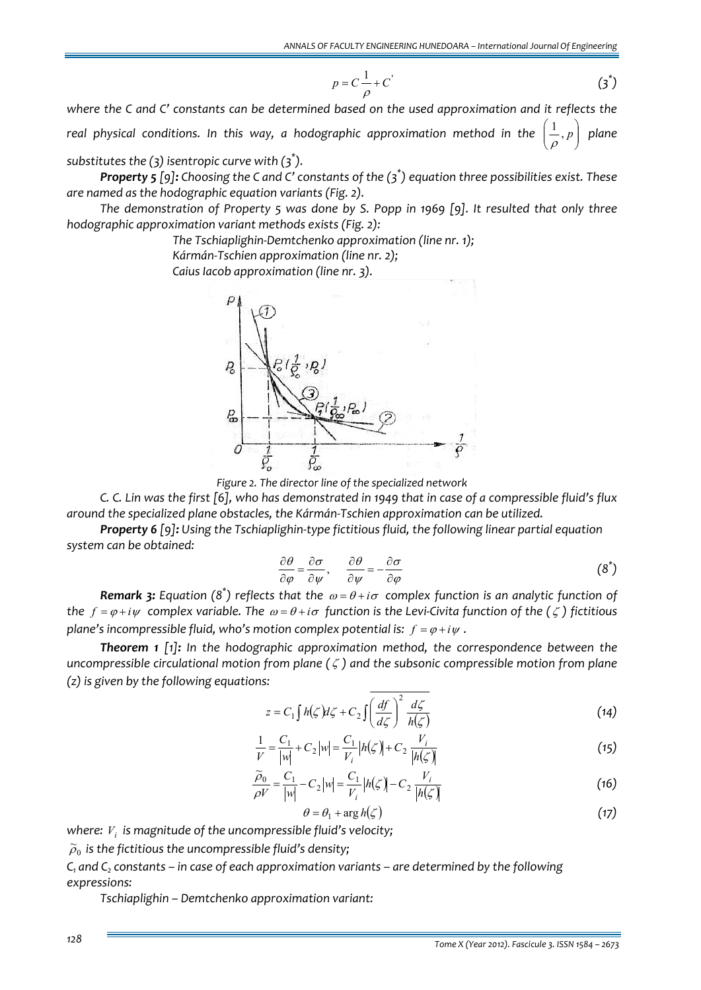$$
p = C \frac{1}{\rho} + C' \tag{3}^*
$$

*where the C and C' constants can be determined based on the used approximation and it reflects the real* physical conditions. In this way, a hodographic approximation method in the ⎟ ⎠ ⎞  $\overline{\phantom{a}}$  $\mathsf I$ ⎝  $\left(\frac{1}{p}, p\right)$ 1 ρ *plane*

*substitutes the (3) isentropic curve with (3\* ).*

**Property 5** [9]: Choosing the C and C' constants of the  $(\vec{\sigma})$  equation three possibilities exist. These *are named as the hodographic equation variants (Fig. 2).*

*The demonstration of Property 5 was done by S. Popp in 1969 [9]. It resulted that only three hodographic approximation variant methods exists (Fig. 2):*

*The Tschiaplighin‐Demtchenko approximation (line nr. 1);*

*Kármán‐Tschien approximation (line nr. 2);*

*Caius Iacob approximation (line nr. 3).*



*Figure 2. The director line of the specialized network*

C. C. Lin was the first [6], who has demonstrated in 1949 that in case of a compressible fluid's flux *around the specialized plane obstacles, the Kármán‐Tschien approximation can be utilized.*

*Property 6 [9]: Using the Tschiaplighin‐type fictitious fluid, the following linear partial equation system can be obtained:*

$$
\frac{\partial \theta}{\partial \varphi} = \frac{\partial \sigma}{\partial \psi}, \qquad \frac{\partial \theta}{\partial \psi} = -\frac{\partial \sigma}{\partial \varphi}
$$
 (8<sup>\*</sup>)

*Remark 3: Equation* (8<sup>\*</sup>) *reflects that the*  $\omega = \theta + i\sigma$  *complex function is an analytic function of* the  $f = \varphi + i\psi$  complex variable. The  $\omega = \theta + i\sigma$  function is the Levi-Civita function of the  $(\zeta)$  fictitious *plane's* incompressible fluid, who's motion complex potential is:  $f = \varphi + i\psi$ .

*Theorem 1 [1]: In the hodographic approximation method, the correspondence between the uncompressible circulational motion from plane (* ζ *) and the subsonic compressible motion from plane (z) is given by the following equations:*

$$
z = C_1 \int h(\zeta) d\zeta + C_2 \int \left(\frac{df}{d\zeta}\right)^2 \frac{d\zeta}{h(\zeta)}
$$
(14)

$$
\frac{1}{V} = \frac{C_1}{|w|} + C_2 |w| = \frac{C_1}{V_i} |h(\zeta)| + C_2 \frac{V_i}{|h(\zeta)|}
$$
\n(15)

$$
\frac{\widetilde{\rho}_0}{\rho V} = \frac{C_1}{|w|} - C_2 |w| = \frac{C_1}{V_i} |h(\zeta)| - C_2 \frac{V_i}{|h(\zeta)|}
$$
\n(16)

$$
\theta = \theta_1 + \arg h(\zeta) \tag{17}
$$

*where: Vi is magnitude of the uncompressible fluid's velocity;*

 $\widetilde{\rho}_0$  is the fictitious the uncompressible fluid's density<mark>;</mark>

*C1 and C2 constants – in case of each approximation variants – are determined by the following expressions:*

*Tschiaplighin – Demtchenko approximation variant:*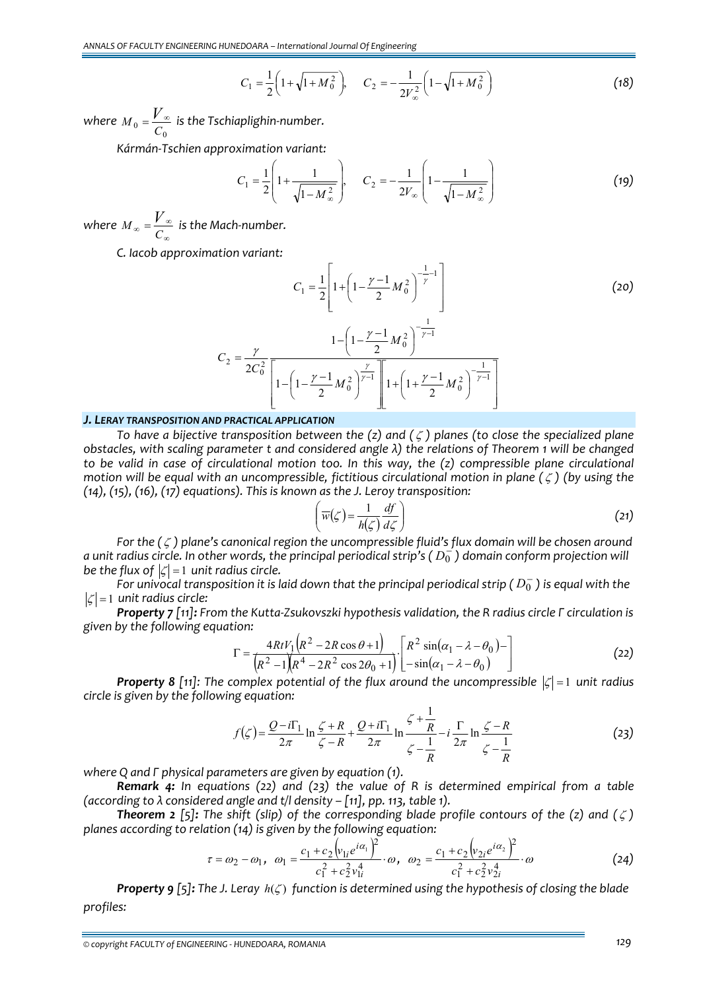$$
C_1 = \frac{1}{2} \left( 1 + \sqrt{1 + M_0^2} \right), \qquad C_2 = -\frac{1}{2V_\infty^2} \left( 1 - \sqrt{1 + M_0^2} \right) \tag{18}
$$

*where*  $M_{0} = \frac{V_{\infty}}{C_{0}}$  is the Tschiaplighin-number.

*Kármán‐Tschien approximation variant:*

$$
C_1 = \frac{1}{2} \left( 1 + \frac{1}{\sqrt{1 - M_{\infty}^2}} \right), \quad C_2 = -\frac{1}{2V_{\infty}} \left( 1 - \frac{1}{\sqrt{1 - M_{\infty}^2}} \right)
$$
(19)

*where*  ${M}_{\infty}$  =  $\frac{V}{C_{\infty}}$  is the Mach-number.

*C. Iacob approximation variant:*

$$
C_1 = \frac{1}{2} \left[ 1 + \left( 1 - \frac{\gamma - 1}{2} M_0^2 \right)^{-\frac{1}{\gamma} - 1} \right]
$$
\n
$$
C_2 = \frac{\gamma}{2C_0^2} \frac{1 - \left( 1 - \frac{\gamma - 1}{2} M_0^2 \right)^{-\frac{1}{\gamma - 1}}}{\left[ 1 - \left( 1 - \frac{\gamma - 1}{2} M_0^2 \right)^{\frac{\gamma}{\gamma - 1}} \right] \left[ 1 + \left( 1 + \frac{\gamma - 1}{2} M_0^2 \right)^{-\frac{1}{\gamma - 1}} \right]}
$$
\n(20)

### *J. LERAY TRANSPOSITION AND PRACTICAL APPLICATION*

*To have a bijective transposition between the (z) and (*ζ *) planes (to close the specialized plane* obstacles, with scaling parameter t and considered angle  $\lambda$ ) the relations of Theorem 1 will be changed *to be valid in case of circulational motion too. In this way, the (z) compressible plane circulational motion will be equal with an uncompressible, fictitious circulational motion in plane (*ζ *) (by using the (14), (15), (16), (17) equations). This is known as the J. Leroy transposition:*

$$
\left(\overline{w}(\zeta) = \frac{1}{h(\zeta)} \frac{df}{d\zeta}\right)
$$
 (21)

*For the (*ζ *) plane's canonical region the uncompressible fluid's flux domain will be chosen around* a unit radius circle. In other words, the principal periodical strip's ( $D_0^-$ ) domain conform projection will *be the flux* of  $|\zeta| = 1$  *unit radius circle.* 

For univocal transposition it is laid down that the principal periodical strip ( $D_0^-$ ) is equal with the  $|\zeta| = 1$  *unit radius circle:* 

Property 7 [11]: From the Kutta-Zsukovszki hypothesis validation, the R radius circle  $\Gamma$  circulation is *given by the following equation:*

$$
\Gamma = \frac{4RtV_1(R^2 - 2R\cos\theta + 1)}{(R^2 - 1)(R^4 - 2R^2\cos 2\theta_0 + 1)} \cdot \left[ \frac{R^2\sin(\alpha_1 - \lambda - \theta_0)}{-\sin(\alpha_1 - \lambda - \theta_0)} \right]
$$
(22)

*Property* 8 [11]: The complex potential of the flux around the uncompressible  $|\zeta| = 1$  unit radius *circle is given by the following equation:* 

$$
f(\zeta) = \frac{Q - i\Gamma_1}{2\pi} \ln \frac{\zeta + R}{\zeta - R} + \frac{Q + i\Gamma_1}{2\pi} \ln \frac{\zeta + \frac{1}{R}}{\zeta - \frac{1}{R}} - i \frac{\Gamma}{2\pi} \ln \frac{\zeta - R}{\zeta - \frac{1}{R}}
$$
(23)

*where Q and Г physical parameters are given by equation (1).*

*Remark 4: In equations (22) and (23) the value of R is determined empirical from a table (according to λ considered angle and t/l density – [11], pp. 113, table 1).*

**Theorem 2** [5]: The shift (slip) of the corresponding blade profile contours of the (z) and ( $\zeta$ ) *planes according to relation (14) is given by the following equation:*

$$
\tau = \omega_2 - \omega_1, \quad \omega_1 = \frac{c_1 + c_2 \left(v_{1i} e^{i\alpha_1}\right)^2}{c_1^2 + c_2^2 v_{1i}^4} \cdot \omega, \quad \omega_2 = \frac{c_1 + c_2 \left(v_{2i} e^{i\alpha_2}\right)^2}{c_1^2 + c_2^2 v_{2i}^4} \cdot \omega \tag{24}
$$

**Property 9** [5]: The J. Leray  $h(\zeta)$  function is determined using the hypothesis of closing the blade *profiles:*

*© copyright FACULTY of ENGINEERING ‐ HUNEDOARA, ROMANIA 129*